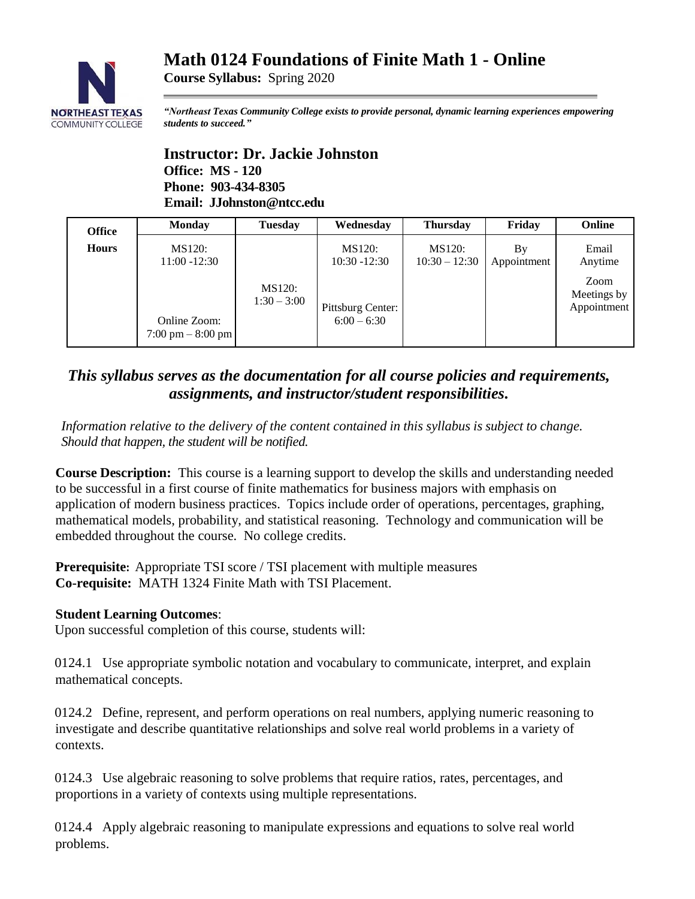# **Math 0124 Foundations of Finite Math 1 - Online**



**Course Syllabus:** Spring 2020

*"Northeast Texas Community College exists to provide personal, dynamic learning experiences empowering students to succeed."*

**Instructor: Dr. Jackie Johnston Office: MS - 120 Phone: 903-434-8305 Email: JJohnston@ntcc.edu**

| <b>Office</b> | <b>Monday</b>                      | <b>Tuesday</b>          | Wednesday                          | <b>Thursday</b>           | Friday            | <b>Online</b>                      |
|---------------|------------------------------------|-------------------------|------------------------------------|---------------------------|-------------------|------------------------------------|
| <b>Hours</b>  | MS120:<br>$11:00 - 12:30$          |                         | <b>MS120:</b><br>$10:30 - 12:30$   | MS120:<br>$10:30 - 12:30$ | By<br>Appointment | Email<br>Anytime                   |
|               | Online Zoom:<br>7:00 pm $-8:00$ pm | MS120:<br>$1:30 - 3:00$ | Pittsburg Center:<br>$6:00 - 6:30$ |                           |                   | Zoom<br>Meetings by<br>Appointment |

## *This syllabus serves as the documentation for all course policies and requirements, assignments, and instructor/student responsibilities.*

*Information relative to the delivery of the content contained in this syllabus is subject to change. Should that happen, the student will be notified.*

**Course Description:** This course is a learning support to develop the skills and understanding needed to be successful in a first course of finite mathematics for business majors with emphasis on application of modern business practices. Topics include order of operations, percentages, graphing, mathematical models, probability, and statistical reasoning. Technology and communication will be embedded throughout the course. No college credits.

**Prerequisite:** Appropriate TSI score / TSI placement with multiple measures **Co-requisite:** MATH 1324 Finite Math with TSI Placement.

### **Student Learning Outcomes**:

Upon successful completion of this course, students will:

0124.1 Use appropriate symbolic notation and vocabulary to communicate, interpret, and explain mathematical concepts.

0124.2 Define, represent, and perform operations on real numbers, applying numeric reasoning to investigate and describe quantitative relationships and solve real world problems in a variety of contexts.

0124.3 Use algebraic reasoning to solve problems that require ratios, rates, percentages, and proportions in a variety of contexts using multiple representations.

0124.4 Apply algebraic reasoning to manipulate expressions and equations to solve real world problems.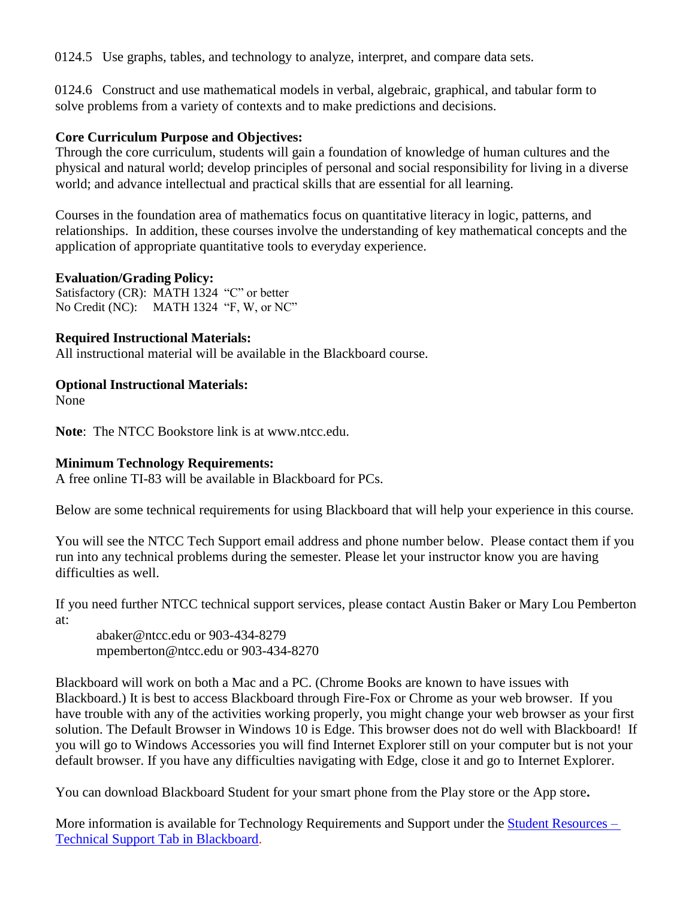0124.5 Use graphs, tables, and technology to analyze, interpret, and compare data sets.

0124.6 Construct and use mathematical models in verbal, algebraic, graphical, and tabular form to solve problems from a variety of contexts and to make predictions and decisions.

## **Core Curriculum Purpose and Objectives:**

Through the core curriculum, students will gain a foundation of knowledge of human cultures and the physical and natural world; develop principles of personal and social responsibility for living in a diverse world; and advance intellectual and practical skills that are essential for all learning.

Courses in the foundation area of mathematics focus on quantitative literacy in logic, patterns, and relationships. In addition, these courses involve the understanding of key mathematical concepts and the application of appropriate quantitative tools to everyday experience.

## **Evaluation/Grading Policy:**

Satisfactory (CR): MATH 1324 "C" or better No Credit (NC): MATH 1324 "F, W, or NC"

## **Required Instructional Materials:**

All instructional material will be available in the Blackboard course.

## **Optional Instructional Materials:**

None

**Note**: The NTCC Bookstore link is at www.ntcc.edu.

### **Minimum Technology Requirements:**

A free online TI-83 will be available in Blackboard for PCs.

Below are some technical requirements for using Blackboard that will help your experience in this course.

You will see the NTCC Tech Support email address and phone number below. Please contact them if you run into any technical problems during the semester. Please let your instructor know you are having difficulties as well.

If you need further NTCC technical support services, please contact Austin Baker or Mary Lou Pemberton at:

abaker@ntcc.edu or 903-434-8279 mpemberton@ntcc.edu or 903-434-8270

Blackboard will work on both a Mac and a PC. (Chrome Books are known to have issues with Blackboard.) It is best to access Blackboard through Fire-Fox or Chrome as your web browser. If you have trouble with any of the activities working properly, you might change your web browser as your first solution. The Default Browser in Windows 10 is Edge. This browser does not do well with Blackboard! If you will go to Windows Accessories you will find Internet Explorer still on your computer but is not your default browser. If you have any difficulties navigating with Edge, close it and go to Internet Explorer.

You can download Blackboard Student for your smart phone from the Play store or the App store**.**

More information is available for Technology Requirements and Support under the [Student Resources –](https://blackboard.ntcc.edu/webapps/portal/execute/tabs/tabAction?tabId=_14_1&tab_tab_group_id=_15_1) [Technical Support Tab in Blackboard.](https://blackboard.ntcc.edu/webapps/portal/execute/tabs/tabAction?tabId=_14_1&tab_tab_group_id=_15_1)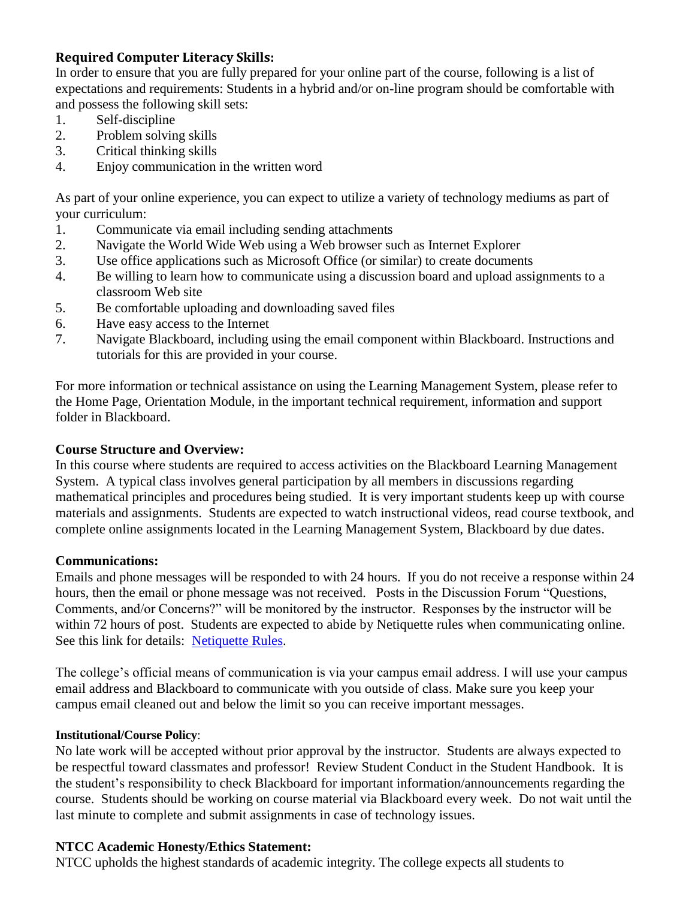## **Required Computer Literacy Skills:**

In order to ensure that you are fully prepared for your online part of the course, following is a list of expectations and requirements: Students in a hybrid and/or on-line program should be comfortable with and possess the following skill sets:

- 1. Self-discipline
- 2. Problem solving skills
- 3. Critical thinking skills
- 4. Enjoy communication in the written word

As part of your online experience, you can expect to utilize a variety of technology mediums as part of your curriculum:

- 1. Communicate via email including sending attachments
- 2. Navigate the World Wide Web using a Web browser such as Internet Explorer
- 3. Use office applications such as Microsoft Office (or similar) to create documents
- 4. Be willing to learn how to communicate using a discussion board and upload assignments to a classroom Web site
- 5. Be comfortable uploading and downloading saved files
- 6. Have easy access to the Internet
- 7. Navigate Blackboard, including using the email component within Blackboard. Instructions and tutorials for this are provided in your course.

For more information or technical assistance on using the Learning Management System, please refer to the Home Page, Orientation Module, in the important technical requirement, information and support folder in Blackboard.

#### **Course Structure and Overview:**

In this course where students are required to access activities on the Blackboard Learning Management System. A typical class involves general participation by all members in discussions regarding mathematical principles and procedures being studied. It is very important students keep up with course materials and assignments. Students are expected to watch instructional videos, read course textbook, and complete online assignments located in the Learning Management System, Blackboard by due dates.

#### **Communications:**

Emails and phone messages will be responded to with 24 hours. If you do not receive a response within 24 hours, then the email or phone message was not received. Posts in the Discussion Forum "Questions, Comments, and/or Concerns?" will be monitored by the instructor. Responses by the instructor will be within 72 hours of post. Students are expected to abide by Netiquette rules when communicating online. See this link for details: [Netiquette Rules.](http://www.albion.com/netiquette/corerules.html)

The college's official means of communication is via your campus email address. I will use your campus email address and Blackboard to communicate with you outside of class. Make sure you keep your campus email cleaned out and below the limit so you can receive important messages.

#### **Institutional/Course Policy**:

No late work will be accepted without prior approval by the instructor. Students are always expected to be respectful toward classmates and professor! Review Student Conduct in the Student Handbook. It is the student's responsibility to check Blackboard for important information/announcements regarding the course. Students should be working on course material via Blackboard every week. Do not wait until the last minute to complete and submit assignments in case of technology issues.

#### **NTCC Academic Honesty/Ethics Statement:**

NTCC upholds the highest standards of academic integrity. The college expects all students to